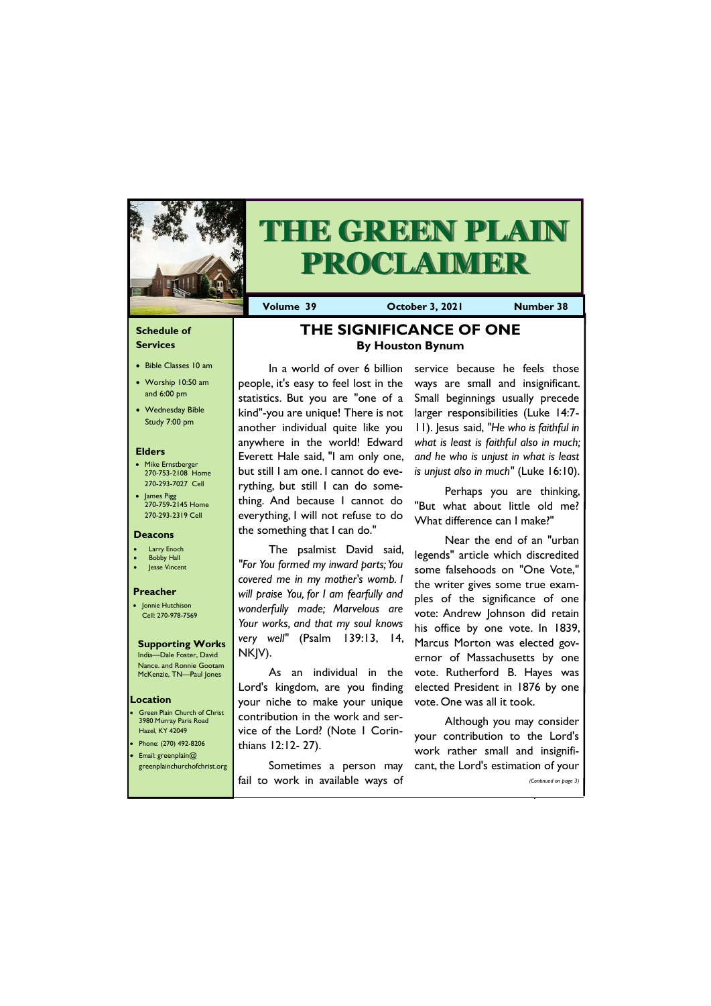### **Schedule of Services**

- Bible Classes 10 am
- Worship 10:50 am and 6:00 pm
- Wednesday Bible Study 7:00 pm

### **Elders**

- Mike Ernstberger 270-753-2108 Home 270-293-7027 Cell
- James Pigg 270-759-2145 Home 270-293-2319 Cell

Green Plain Church of Christ 3980 Murray Paris Road Hazel, KY 42049 • Phone: (270) 492-8206 • Email: greenplain@

### **Location**



# **THE GREEN PLAIN PROCLAIMER**

**Volume 39 October 3, 2021 Number 38**

### **Deacons**

- **Larry Enoch**
- **Bobby Hall**
- Jesse Vincent

### **Preacher**

• Jonnie Hutchison Cell: 270-978-7569

**Supporting Works** India—Dale Foster, David Nance. and Ronnie Gootam McKenzie, TN—Paul Jones

**THE SIGNIFICANCE OF ONE By Houston Bynum**

In a world of over 6 billion people, it's easy to feel lost in the statistics. But you are "one of a kind"-you are unique! There is not another individual quite like you anywhere in the world! Edward Everett Hale said, "I am only one, but still I am one. I cannot do everything, but still I can do something. And because I cannot do everything, I will not refuse to do the something that I can do."

The psalmist David said, *"For You formed my inward parts; You covered me in my mother's womb. I will praise You, for I am fearfully and wonderfully made; Marvelous are Your works, and that my soul knows very well"* (Psalm 139:13, 14, NKJV).

| greenplainchurchofchrist.org |                                   | Sometimes a person may cant, the Lord's estimation of your |
|------------------------------|-----------------------------------|------------------------------------------------------------|
|                              | fail to work in available ways of | (Continued on page 3)                                      |
|                              |                                   |                                                            |

As an individual in the Lord's kingdom, are you finding your niche to make your unique contribution in the work and service of the Lord? (Note 1 Corinthians 12:12- 27).

service because he feels those ways are small and insignificant. Small beginnings usually precede larger responsibilities (Luke 14:7- 11). Jesus said, *"He who is faithful in what is least is faithful also in much; and he who is unjust in what is least is unjust also in much"* (Luke 16:10).

Perhaps you are thinking, "But what about little old me? What difference can I make?"

Near the end of an "urban legends" article which discredited some falsehoods on "One Vote," the writer gives some true examples of the significance of one vote: Andrew Johnson did retain his office by one vote. In 1839, Marcus Morton was elected governor of Massachusetts by one vote. Rutherford B. Hayes was elected President in 1876 by one vote. One was all it took.

Although you may consider your contribution to the Lord's work rather small and insignifi-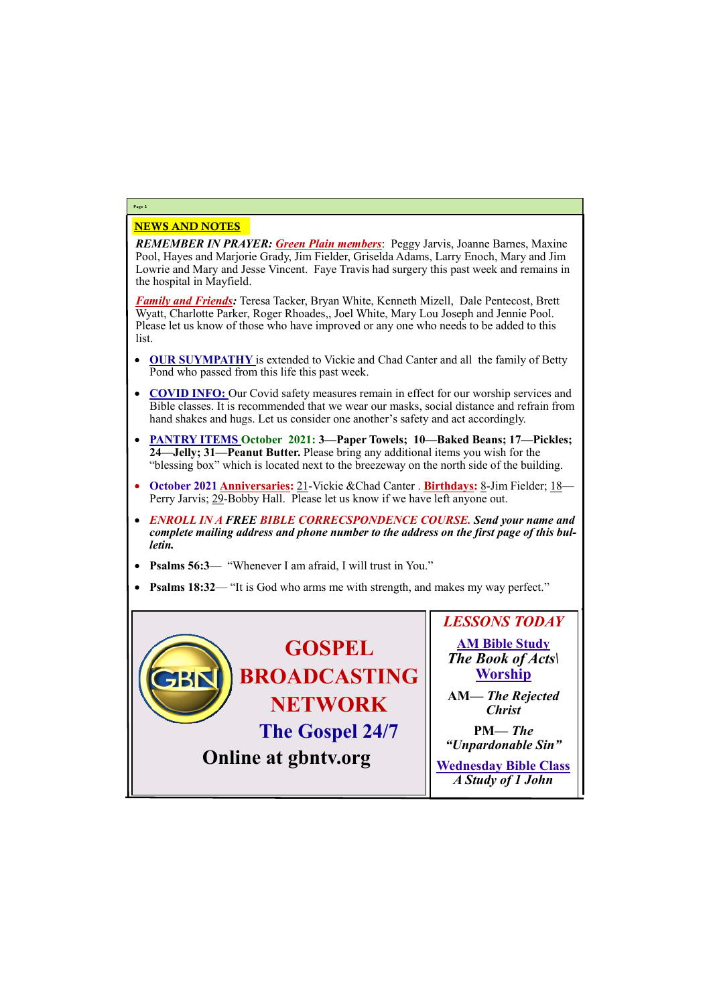## NEWS AND NOTES

*REMEMBER IN PRAYER: Green Plain members*: Peggy Jarvis, Joanne Barnes, Maxine Pool, Hayes and Marjorie Grady, Jim Fielder, Griselda Adams, Larry Enoch, Mary and Jim Lowrie and Mary and Jesse Vincent. Faye Travis had surgery this past week and remains in the hospital in Mayfield.

*Family and Friends:* Teresa Tacker, Bryan White, Kenneth Mizell, Dale Pentecost, Brett Wyatt, Charlotte Parker, Roger Rhoades,, Joel White, Mary Lou Joseph and Jennie Pool. Please let us know of those who have improved or any one who needs to be added to this list.

- **OUR SUYMPATHY** is extended to Vickie and Chad Canter and all the family of Betty Pond who passed from this life this past week.
- **COVID INFO:** Our Covid safety measures remain in effect for our worship services and Bible classes. It is recommended that we wear our masks, social distance and refrain from hand shakes and hugs. Let us consider one another's safety and act accordingly.
- **PANTRY ITEMS October 2021: 3—Paper Towels; 10—Baked Beans; 17—Pickles; 24—Jelly; 31—Peanut Butter.** Please bring any additional items you wish for the "blessing box" which is located next to the breezeway on the north side of the building.
- **October 2021 Anniversaries:** 21-Vickie &Chad Canter . **Birthdays:** 8-Jim Fielder; 18— Perry Jarvis; 29-Bobby Hall. Please let us know if we have left anyone out.
- *ENROLL IN A FREE BIBLE CORRECSPONDENCE COURSE. Send your name and complete mailing address and phone number to the address on the first page of this bulletin.*
- **Psalms 56:3** "Whenever I am afraid, I will trust in You."
- **Psalms 18:32** "It is God who arms me with strength, and makes my way perfect."

# **Page 2**

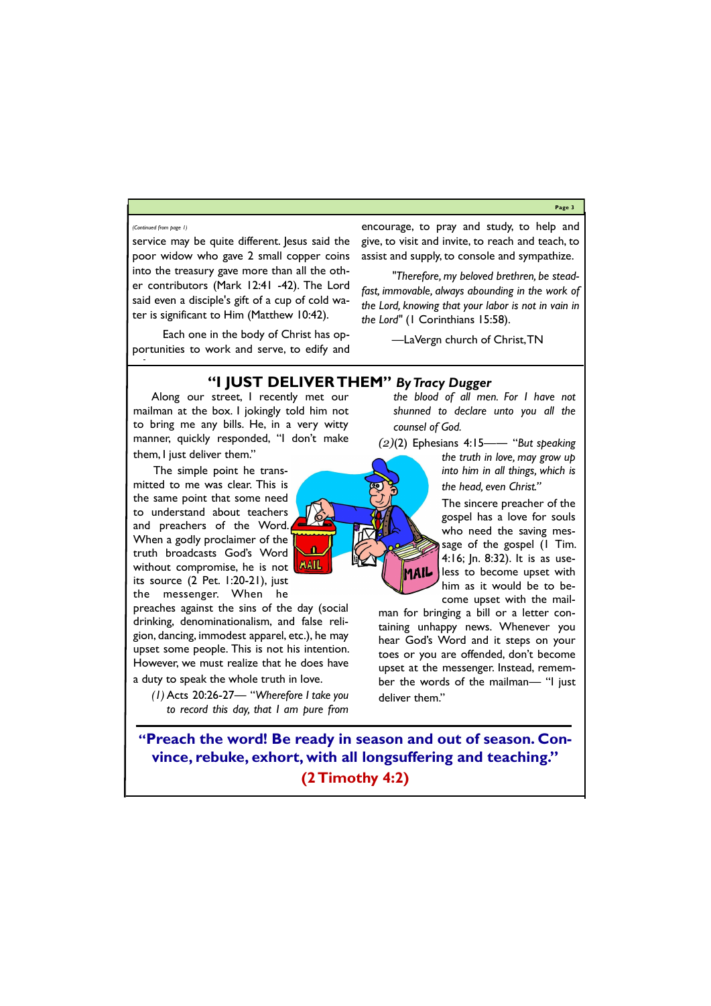**Page 3**

service may be quite different. Jesus said the poor widow who gave 2 small copper coins into the treasury gave more than all the other contributors (Mark 12:41 -42). The Lord said even a disciple's gift of a cup of cold water is significant to Him (Matthew 10:42).

Each one in the body of Christ has opportunities to work and serve, to edify and

encourage, to pray and study, to help and give, to visit and invite, to reach and teach, to assist and supply, to console and sympathize.

*"Therefore, my beloved brethren, be steadfast, immovable, always abounding in the work of the Lord, knowing that your labor is not in vain in the Lord"* (1 Corinthians 15:58).

—LaVergn church of Christ, TN

### *(Continued from page 1)*

### **"I JUST DELIVER THEM"** *By Tracy Dugger*

Along our street, I recently met our mailman at the box. I jokingly told him not to bring me any bills. He, in a very witty manner, quickly responded, "I don't make them, I just deliver them."

The simple point he transmitted to me was clear. This is the same point that some need to understand about teachers and preachers of the Word. When a godly proclaimer of the truth broadcasts God's Word without compromise, he is not its source (2 Pet. 1:20-21), just the messenger. When he



preaches against the sins of the day (social drinking, denominationalism, and false religion, dancing, immodest apparel, etc.), he may upset some people. This is not his intention. However, we must realize that he does have a duty to speak the whole truth in love.

*(1)* Acts 20:26-27— "*Wherefore I take you to record this day, that I am pure from*  *the blood of all men. For I have not shunned to declare unto you all the counsel of God.* 

*(2)*(2) Ephesians 4:15—― "*But speaking* 

*the truth in love, may grow up into him in all things, which is the head, even Christ."*

The sincere preacher of the gospel has a love for souls who need the saving message of the gospel (1 Tim. 4:16; Jn. 8:32). It is as useless to become upset with him as it would be to become upset with the mail-

man for bringing a bill or a letter containing unhappy news. Whenever you hear God's Word and it steps on your toes or you are offended, don't become upset at the messenger. Instead, remember the words of the mailman— "I just deliver them."

**"Preach the word! Be ready in season and out of season. Convince, rebuke, exhort, with all longsuffering and teaching."** 

**(2 Timothy 4:2)**